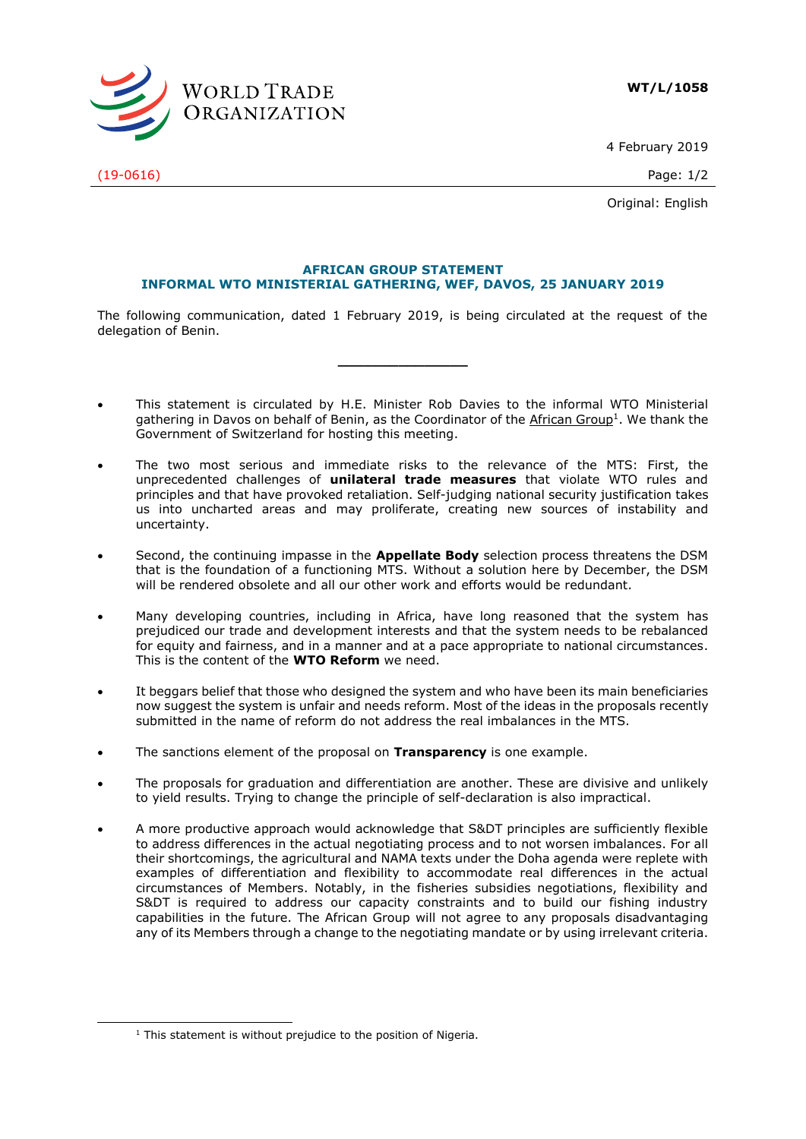

4 February 2019

(19-0616) Page: 1/2

Original: English

## **AFRICAN GROUP STATEMENT INFORMAL WTO MINISTERIAL GATHERING, WEF, DAVOS, 25 JANUARY 2019**

The following communication, dated 1 February 2019, is being circulated at the request of the delegation of Benin.

**\_\_\_\_\_\_\_\_\_\_\_\_\_\_\_**

- This statement is circulated by H.E. Minister Rob Davies to the informal WTO Ministerial gathering in Davos on behalf of Benin, as the Coordinator of the African Group<sup>1</sup>. We thank the Government of Switzerland for hosting this meeting.
- The two most serious and immediate risks to the relevance of the MTS: First, the unprecedented challenges of **unilateral trade measures** that violate WTO rules and principles and that have provoked retaliation. Self-judging national security justification takes us into uncharted areas and may proliferate, creating new sources of instability and uncertainty.
- Second, the continuing impasse in the **Appellate Body** selection process threatens the DSM that is the foundation of a functioning MTS. Without a solution here by December, the DSM will be rendered obsolete and all our other work and efforts would be redundant.
- Many developing countries, including in Africa, have long reasoned that the system has prejudiced our trade and development interests and that the system needs to be rebalanced for equity and fairness, and in a manner and at a pace appropriate to national circumstances. This is the content of the **WTO Reform** we need.
- It beggars belief that those who designed the system and who have been its main beneficiaries now suggest the system is unfair and needs reform. Most of the ideas in the proposals recently submitted in the name of reform do not address the real imbalances in the MTS.
- The sanctions element of the proposal on **Transparency** is one example.
- The proposals for graduation and differentiation are another. These are divisive and unlikely to yield results. Trying to change the principle of self-declaration is also impractical.
- A more productive approach would acknowledge that S&DT principles are sufficiently flexible to address differences in the actual negotiating process and to not worsen imbalances. For all their shortcomings, the agricultural and NAMA texts under the Doha agenda were replete with examples of differentiation and flexibility to accommodate real differences in the actual circumstances of Members. Notably, in the fisheries subsidies negotiations, flexibility and S&DT is required to address our capacity constraints and to build our fishing industry capabilities in the future. The African Group will not agree to any proposals disadvantaging any of its Members through a change to the negotiating mandate or by using irrelevant criteria.

-

 $1$  This statement is without prejudice to the position of Nigeria.